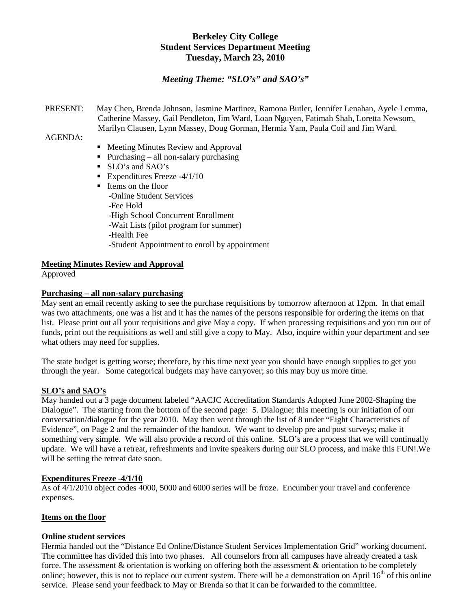## **Berkeley City College Student Services Department Meeting Tuesday, March 23, 2010**

## *Meeting Theme: "SLO's" and SAO's"*

PRESENT: May Chen, Brenda Johnson, Jasmine Martinez, Ramona Butler, Jennifer Lenahan, Ayele Lemma, Catherine Massey, Gail Pendleton, Jim Ward, Loan Nguyen, Fatimah Shah, Loretta Newsom, Marilyn Clausen, Lynn Massey, Doug Gorman, Hermia Yam, Paula Coil and Jim Ward.

AGENDA:

- Meeting Minutes Review and Approval
- Purchasing all non-salary purchasing
- SLO's and SAO's
- Expenditures Freeze  $-4/1/10$

■ Items on the floor -Online Student Services -Fee Hold -High School Concurrent Enrollment -Wait Lists (pilot program for summer) -Health Fee -Student Appointment to enroll by appointment

#### **Meeting Minutes Review and Approval**

Approved

#### **Purchasing – all non-salary purchasing**

May sent an email recently asking to see the purchase requisitions by tomorrow afternoon at 12pm. In that email was two attachments, one was a list and it has the names of the persons responsible for ordering the items on that list. Please print out all your requisitions and give May a copy. If when processing requisitions and you run out of funds, print out the requisitions as well and still give a copy to May. Also, inquire within your department and see what others may need for supplies.

The state budget is getting worse; therefore, by this time next year you should have enough supplies to get you through the year. Some categorical budgets may have carryover; so this may buy us more time.

#### **SLO's and SAO's**

May handed out a 3 page document labeled "AACJC Accreditation Standards Adopted June 2002-Shaping the Dialogue". The starting from the bottom of the second page: 5. Dialogue; this meeting is our initiation of our conversation/dialogue for the year 2010. May then went through the list of 8 under "Eight Characteristics of Evidence", on Page 2 and the remainder of the handout. We want to develop pre and post surveys; make it something very simple. We will also provide a record of this online. SLO's are a process that we will continually update. We will have a retreat, refreshments and invite speakers during our SLO process, and make this FUN!.We will be setting the retreat date soon.

#### **Expenditures Freeze -4/1/10**

As of 4/1/2010 object codes 4000, 5000 and 6000 series will be froze. Encumber your travel and conference expenses.

#### **Items on the floor**

#### **Online student services**

Hermia handed out the "Distance Ed Online/Distance Student Services Implementation Grid" working document. The committee has divided this into two phases. All counselors from all campuses have already created a task force. The assessment & orientation is working on offering both the assessment & orientation to be completely online; however, this is not to replace our current system. There will be a demonstration on April  $16<sup>th</sup>$  of this online service. Please send your feedback to May or Brenda so that it can be forwarded to the committee.